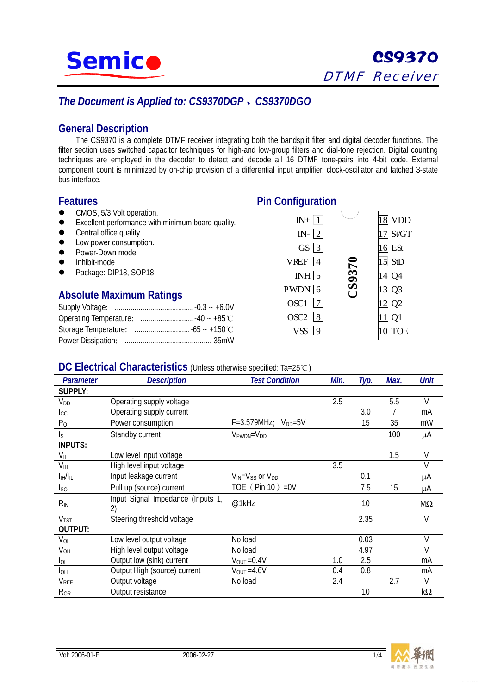

# *The Document is Applied to: CS9370DGP*、*CS9370DGO*

## **General Description**

The CS9370 is a complete DTMF receiver integrating both the bandsplit filter and digital decoder functions. The filter section uses switched capacitor techniques for high-and low-group filters and dial-tone rejection. Digital counting techniques are employed in the decoder to detect and decode all 16 DTMF tone-pairs into 4-bit code. External component count is minimized by on-chip provision of a differential input amplifier, clock-oscillator and latched 3-state bus interface.

## **Features**

- CMOS, 5/3 Volt operation.
- $\bullet$  Excellent performance with minimum board quality.
- $\bullet$  Central office quality.
- Low power consumption.
- Power-Down mode
- z Inhibit-mode
- Package: DIP18, SOP18

## **Absolute Maximum Ratings**



### **DC Electrical Characteristics** (Unless otherwise specified: Ta=25℃)

| <b>Parameter</b>              | <b>Description</b>                | <b>Test Condition</b>             | Min. | Typ. | Max. | <b>Unit</b> |
|-------------------------------|-----------------------------------|-----------------------------------|------|------|------|-------------|
| <b>SUPPLY:</b>                |                                   |                                   |      |      |      |             |
| <b>V</b> <sub>DD</sub>        | Operating supply voltage          |                                   | 2.5  |      | 5.5  | $\vee$      |
| $I_{\rm CC}$                  | Operating supply current          |                                   |      | 3.0  |      | mA          |
| P <sub>0</sub>                | Power consumption                 | $F = 3.579$ MHz; $V_{DD} = 5V$    |      | 15   | 35   | mW          |
| $\mathsf{I}_\mathsf{S}$       | Standby current                   | $V_{\text{PWDN}} = V_{\text{DD}}$ |      |      | 100  | μA          |
| <b>INPUTS:</b>                |                                   |                                   |      |      |      |             |
| $V_{IL}$                      | Low level input voltage           |                                   |      |      | 1.5  | V           |
| V <sub>IH</sub>               | High level input voltage          |                                   | 3.5  |      |      | V           |
| $I_{\text{IH}}/I_{\text{IL}}$ | Input leakage current             | $V_{IN} = V_{SS}$ or $V_{DD}$     |      | 0.1  |      | μA          |
| <sub>so</sub>                 | Pull up (source) current          | TOE $(Pin 10) = 0V$               |      | 7.5  | 15   | μA          |
| $R_{IN}$                      | Input Signal Impedance (Inputs 1, | @1kHz                             |      | 10   |      | $M\Omega$   |
| V <sub>TST</sub>              | Steering threshold voltage        |                                   |      | 2.35 |      | V           |
| <b>OUTPUT:</b>                |                                   |                                   |      |      |      |             |
| $V_{OL}$                      | Low level output voltage          | No load                           |      | 0.03 |      | V           |
| $V_{OH}$                      | High level output voltage         | No load                           |      | 4.97 |      | V           |
| <b>I</b> OL                   | Output low (sink) current         | $V_{OUT} = 0.4V$                  | 1.0  | 2.5  |      | mA          |
| Iон                           | Output High (source) current      | $V_{\text{OUT}} = 4.6V$           | 0.4  | 0.8  |      | mA          |
| <b>V</b> <sub>REF</sub>       | Output voltage                    | No load                           | 2.4  |      | 2.7  | V           |
| $R_{OR}$                      | Output resistance                 |                                   |      | 10   |      | $k\Omega$   |



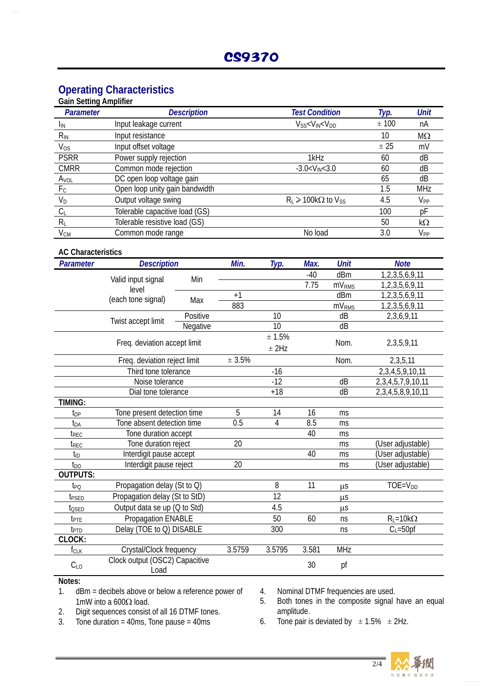# **Operating Characteristics**

| <b>Parameter</b> | <b>Description</b>             | <b>Test Condition</b>                  | Typ. | Unit       |
|------------------|--------------------------------|----------------------------------------|------|------------|
| <b>I</b> IN      | Input leakage current          | $V_{SS} < V_{IN} < V_{DD}$             | ±100 | nA         |
| $R_{IN}$         | Input resistance               |                                        | 10   | $M\Omega$  |
| $V_{OS}$         | Input offset voltage           |                                        | ± 25 | mV         |
| <b>PSRR</b>      | Power supply rejection         | 1kHz                                   | 60   | dB         |
| <b>CMRR</b>      | Common mode rejection          | $-3.0 < V_{IN} < 3.0$                  | 60   | dB         |
| Avol             | DC open loop voltage gain      |                                        | 65   | dB         |
| F <sub>C</sub>   | Open loop unity gain bandwidth |                                        | 1.5  | <b>MHz</b> |
| $V_D$            | Output voltage swing           | $R_1 \geqslant 100k\Omega$ to $V_{SS}$ | 4.5  | $V_{PP}$   |
| $C_L$            | Tolerable capacitive load (GS) |                                        | 100  | рF         |
| $R_L$            | Tolerable resistive load (GS)  |                                        | 50   | k $\Omega$ |
| $V_{CM}$         | Common mode range              | No load                                | 3.0  | $V_{PP}$   |

| <b>AC Characteristics</b> |                                        |          |        |                   |             |                          |                          |
|---------------------------|----------------------------------------|----------|--------|-------------------|-------------|--------------------------|--------------------------|
| Parameter                 | <b>Description</b>                     | Min.     | Typ.   | Max.              | <b>Unit</b> | <b>Note</b>              |                          |
|                           |                                        | Min      |        |                   | $-40$       | dBm                      | 1,2,3,5,6,9,11           |
|                           | Valid input signal<br>level            |          |        |                   | 7.75        | mV <sub>RMS</sub>        | 1,2,3,5,6,9,11           |
|                           | (each tone signal)                     | Max      | $+1$   |                   |             | dBm                      | 1,2,3,5,6,9,11           |
|                           |                                        |          | 883    |                   |             | mV <sub>RMS</sub>        | 1,2,3,5,6,9,11           |
|                           | Twist accept limit                     | Positive |        | 10                |             | dB                       | 2,3,6,9,11               |
|                           |                                        | Negative |        | 10                |             | dB                       |                          |
|                           | Freq. deviation accept limit           |          |        | ± 1.5%<br>$±$ 2Hz |             | Nom.                     | 2,3,5,9,11               |
|                           | Freq. deviation reject limit           |          | ± 3.5% |                   |             | Nom.                     | 2,3,5,11                 |
|                           | Third tone tolerance                   |          |        | $-16$             |             |                          | 2, 3, 4, 5, 9, 10, 11    |
|                           | Noise tolerance                        |          |        | $-12$             |             | dB                       | 2, 3, 4, 5, 7, 9, 10, 11 |
|                           | Dial tone tolerance                    |          | $+18$  |                   | dB          | 2, 3, 4, 5, 8, 9, 10, 11 |                          |
| <b>TIMING:</b>            |                                        |          |        |                   |             |                          |                          |
| t <sub>DP</sub>           | Tone present detection time            |          | 5      | 14                | 16          | ms                       |                          |
| t <sub>DA</sub>           | Tone absent detection time             | 0.5      | 4      | 8.5               | ms          |                          |                          |
| $t_{REC}$                 | Tone duration accept                   |          |        |                   | 40          | ms                       |                          |
| t <sub>REC</sub>          | Tone duration reject                   | 20       |        |                   | ms          | (User adjustable)        |                          |
| t <sub>ID</sub>           | Interdigit pause accept                |          |        | 40                | ms          | (User adjustable)        |                          |
| $t_{\text{DO}}$           | Interdigit pause reject                | 20       |        |                   | ms          | (User adjustable)        |                          |
| <b>OUTPUTS:</b>           |                                        |          |        |                   |             |                          |                          |
| t <sub>PQ</sub>           | Propagation delay (St to Q)            |          | 8      | 11                | $\mu$ S     | $TOE = VDD$              |                          |
| t <sub>psed</sub>         | Propagation delay (St to StD)          |          |        | 12                |             | $\mu$ S                  |                          |
| t <sub>QSED</sub>         | Output data se up (Q to Std)           |          |        | 4.5               |             | $\mu$ S                  |                          |
| t <sub>PTE</sub>          | Propagation ENABLE                     |          |        | 50                | 60          | ns                       | $R_{L} = 10k\Omega$      |
| t <sub>PTD</sub>          | Delay (TOE to Q) DISABLE               |          | 300    |                   | ns          | $C_{L} = 50$ pf          |                          |
| CLOCK:                    |                                        |          |        |                   |             |                          |                          |
| $f_{CLK}$                 | Crystal/Clock frequency                |          | 3.5759 | 3.5795            | 3.581       | <b>MHz</b>               |                          |
| $C_{LO}$                  | Clock output (OSC2) Capacitive<br>Load |          |        | 30                | pf          |                          |                          |

#### **Notes:**

- 1. dBm = decibels above or below a reference power of 1mW into a 600Ω load.
- 2. Digit sequences consist of all 16 DTMF tones.<br>3. Tone duration = 40ms, Tone pause = 40ms
- $\frac{3}{2}$  Tone duration = 40ms, Tone pause = 40ms
- 4. Nominal DTMF frequencies are used.
- 5. Both tones in the composite signal have an equal amplitude.
- 6. Tone pair is deviated by  $\pm 1.5\% \pm 2$ Hz.

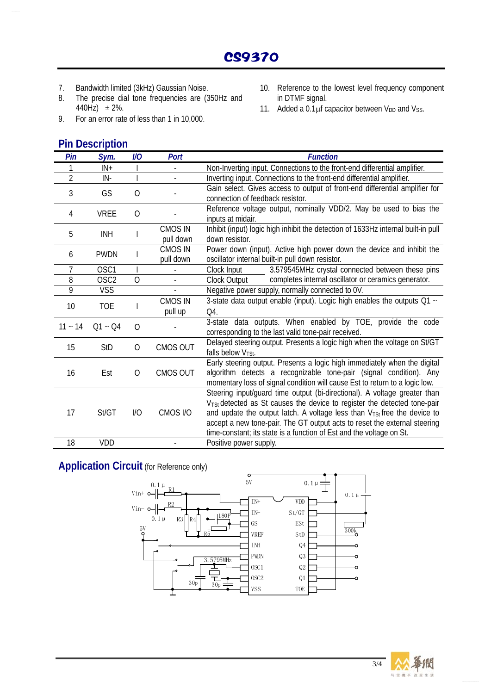- 7. Bandwidth limited (3kHz) Gaussian Noise.
- 8. The precise dial tone frequencies are (350Hz and 440Hz)  $\pm 2\%$ .
- 9. For an error rate of less than 1 in 10,000.

## **Pin Description**

- 10. Reference to the lowest level frequency component in DTMF signal.
- 11. Added a  $0.1 \mu$ f capacitor between V<sub>DD</sub> and V<sub>SS</sub>.

| Pin            | Sym.             | $U\!O$         | Port                        | <b>Function</b>                                                                                                                                                                                                                                                                                                                                                                                                |
|----------------|------------------|----------------|-----------------------------|----------------------------------------------------------------------------------------------------------------------------------------------------------------------------------------------------------------------------------------------------------------------------------------------------------------------------------------------------------------------------------------------------------------|
| 1              | $IN +$           |                |                             | Non-Inverting input. Connections to the front-end differential amplifier.                                                                                                                                                                                                                                                                                                                                      |
| $\overline{2}$ | IN-              |                | $\overline{a}$              | Inverting input. Connections to the front-end differential amplifier.                                                                                                                                                                                                                                                                                                                                          |
| 3              | GS               | O              |                             | Gain select. Gives access to output of front-end differential amplifier for<br>connection of feedback resistor.                                                                                                                                                                                                                                                                                                |
| 4              | <b>VREE</b>      | $\overline{O}$ |                             | Reference voltage output, nominally VDD/2. May be used to bias the<br>inputs at midair.                                                                                                                                                                                                                                                                                                                        |
| 5              | <b>INH</b>       |                | <b>CMOS IN</b><br>pull down | Inhibit (input) logic high inhibit the detection of 1633Hz internal built-in pull<br>down resistor.                                                                                                                                                                                                                                                                                                            |
| 6              | <b>PWDN</b>      |                | <b>CMOS IN</b><br>pull down | Power down (input). Active high power down the device and inhibit the<br>oscillator internal built-in pull down resistor.                                                                                                                                                                                                                                                                                      |
| 7              | OSC1             |                |                             | 3.579545MHz crystal connected between these pins<br>Clock Input                                                                                                                                                                                                                                                                                                                                                |
| 8              | OSC <sub>2</sub> | O              |                             | completes internal oscillator or ceramics generator.<br>Clock Output                                                                                                                                                                                                                                                                                                                                           |
| 9              | <b>VSS</b>       |                |                             | Negative power supply, normally connected to OV.                                                                                                                                                                                                                                                                                                                                                               |
| 10             | <b>TOE</b>       |                | <b>CMOS IN</b><br>pull up   | 3-state data output enable (input). Logic high enables the outputs $Q1 \sim$<br>Q4.                                                                                                                                                                                                                                                                                                                            |
| $11 - 14$      | $Q1 - Q4$        | $\overline{O}$ |                             | 3-state data outputs. When enabled by TOE, provide the code<br>corresponding to the last valid tone-pair received.                                                                                                                                                                                                                                                                                             |
| 15             | <b>StD</b>       | 0              | <b>CMOS OUT</b>             | Delayed steering output. Presents a logic high when the voltage on St/GT<br>falls below V <sub>TSt</sub> .                                                                                                                                                                                                                                                                                                     |
| 16             | Est              | 0              | CMOS OUT                    | Early steering output. Presents a logic high immediately when the digital<br>algorithm detects a recognizable tone-pair (signal condition). Any<br>momentary loss of signal condition will cause Est to return to a logic low.                                                                                                                                                                                 |
| 17             | St/GT            | 1/O            | CMOS I/O                    | Steering input/guard time output (bi-directional). A voltage greater than<br>V <sub>TSt</sub> detected as St causes the device to register the detected tone-pair<br>and update the output latch. A voltage less than V <sub>TSt</sub> free the device to<br>accept a new tone-pair. The GT output acts to reset the external steering<br>time-constant; its state is a function of Est and the voltage on St. |
| 18             | VDD              |                |                             | Positive power supply.                                                                                                                                                                                                                                                                                                                                                                                         |

**Application Circuit** (for Reference only)